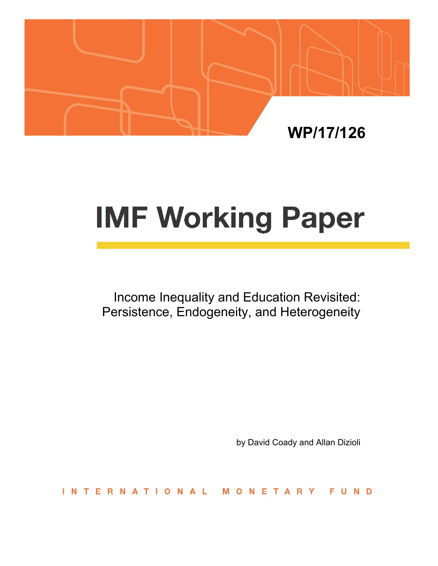

# **IMF Working Paper**

Income Inequality and Education Revisited: Persistence, Endogeneity, and Heterogeneity

by David Coady and Allan Dizioli

**INTERNATIONAL** ETARY FUND  $\Omega$ 'N.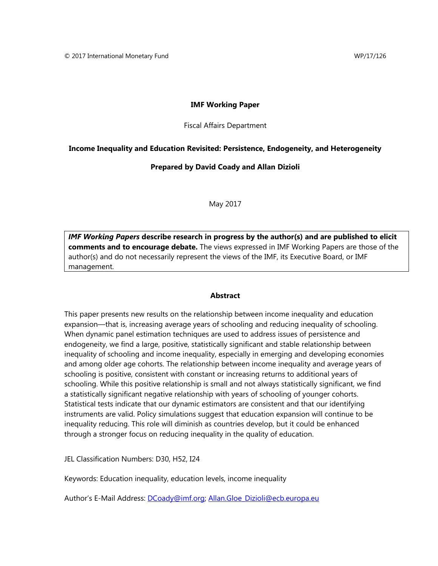#### **IMF Working Paper**

Fiscal Affairs Department

#### **Income Inequality and Education Revisited: Persistence, Endogeneity, and Heterogeneity**

#### **Prepared by David Coady and Allan Dizioli**

May 2017

*IMF Working Papers* **describe research in progress by the author(s) and are published to elicit comments and to encourage debate.** The views expressed in IMF Working Papers are those of the author(s) and do not necessarily represent the views of the IMF, its Executive Board, or IMF management.

#### **Abstract**

This paper presents new results on the relationship between income inequality and education expansion—that is, increasing average years of schooling and reducing inequality of schooling. When dynamic panel estimation techniques are used to address issues of persistence and endogeneity, we find a large, positive, statistically significant and stable relationship between inequality of schooling and income inequality, especially in emerging and developing economies and among older age cohorts. The relationship between income inequality and average years of schooling is positive, consistent with constant or increasing returns to additional years of schooling. While this positive relationship is small and not always statistically significant, we find a statistically significant negative relationship with years of schooling of younger cohorts. Statistical tests indicate that our dynamic estimators are consistent and that our identifying instruments are valid. Policy simulations suggest that education expansion will continue to be inequality reducing. This role will diminish as countries develop, but it could be enhanced through a stronger focus on reducing inequality in the quality of education.

JEL Classification Numbers: D30, H52, I24

Keywords: Education inequality, education levels, income inequality

Author's E-Mail Address: DCoady@imf.org; Allan.Gloe\_Dizioli@ecb.europa.eu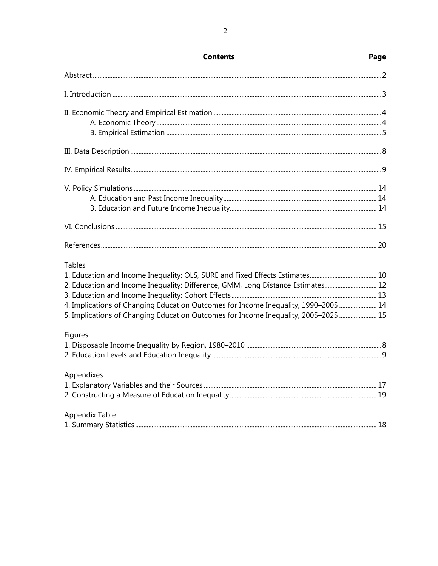| <b>Tables</b>                                                                       |  |
|-------------------------------------------------------------------------------------|--|
|                                                                                     |  |
| 2. Education and Income Inequality: Difference, GMM, Long Distance Estimates 12     |  |
|                                                                                     |  |
| 4. Implications of Changing Education Outcomes for Income Inequality, 1990–2005  14 |  |
| 5. Implications of Changing Education Outcomes for Income Inequality, 2005-2025  15 |  |
| Figures                                                                             |  |
|                                                                                     |  |
|                                                                                     |  |
| Appendixes                                                                          |  |
|                                                                                     |  |
|                                                                                     |  |
| Appendix Table                                                                      |  |
|                                                                                     |  |

**Contents** 

## Page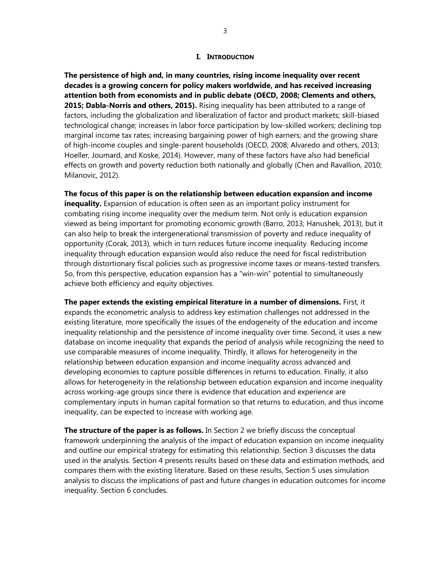#### **I. INTRODUCTION**

**The persistence of high and, in many countries, rising income inequality over recent decades is a growing concern for policy makers worldwide, and has received increasing attention both from economists and in public debate (OECD, 2008; Clements and others, 2015; Dabla-Norris and others, 2015).** Rising inequality has been attributed to a range of factors, including the globalization and liberalization of factor and product markets; skill-biased technological change; increases in labor force participation by low-skilled workers; declining top marginal income tax rates; increasing bargaining power of high earners; and the growing share of high-income couples and single-parent households (OECD, 2008; Alvaredo and others, 2013; Hoeller, Joumard, and Koske, 2014). However, many of these factors have also had beneficial effects on growth and poverty reduction both nationally and globally (Chen and Ravallion, 2010; Milanovic, 2012).

**The focus of this paper is on the relationship between education expansion and income inequality.** Expansion of education is often seen as an important policy instrument for combating rising income inequality over the medium term. Not only is education expansion viewed as being important for promoting economic growth (Barro, 2013; Hanushek, 2013), but it can also help to break the intergenerational transmission of poverty and reduce inequality of opportunity (Corak, 2013), which in turn reduces future income inequality. Reducing income inequality through education expansion would also reduce the need for fiscal redistribution through distortionary fiscal policies such as progressive income taxes or means-tested transfers. So, from this perspective, education expansion has a "win-win" potential to simultaneously achieve both efficiency and equity objectives.

**The paper extends the existing empirical literature in a number of dimensions.** First, it expands the econometric analysis to address key estimation challenges not addressed in the existing literature, more specifically the issues of the endogeneity of the education and income inequality relationship and the persistence of income inequality over time. Second, it uses a new database on income inequality that expands the period of analysis while recognizing the need to use comparable measures of income inequality. Thirdly, it allows for heterogeneity in the relationship between education expansion and income inequality across advanced and developing economies to capture possible differences in returns to education. Finally, it also allows for heterogeneity in the relationship between education expansion and income inequality across working-age groups since there is evidence that education and experience are complementary inputs in human capital formation so that returns to education, and thus income inequality, can be expected to increase with working age.

**The structure of the paper is as follows.** In Section 2 we briefly discuss the conceptual framework underpinning the analysis of the impact of education expansion on income inequality and outline our empirical strategy for estimating this relationship. Section 3 discusses the data used in the analysis. Section 4 presents results based on these data and estimation methods, and compares them with the existing literature. Based on these results, Section 5 uses simulation analysis to discuss the implications of past and future changes in education outcomes for income inequality. Section 6 concludes.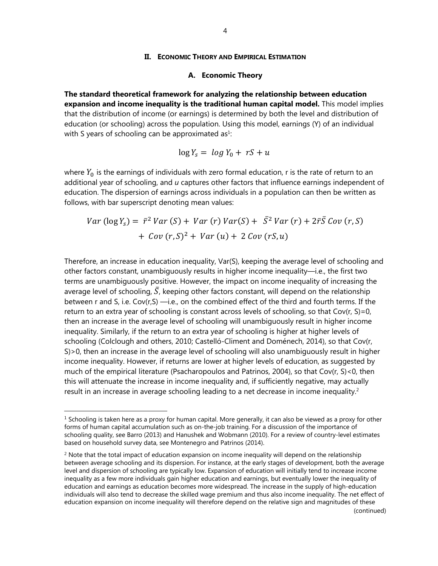#### **II. ECONOMIC THEORY AND EMPIRICAL ESTIMATION**

#### **A. Economic Theory**

**The standard theoretical framework for analyzing the relationship between education expansion and income inequality is the traditional human capital model.** This model implies that the distribution of income (or earnings) is determined by both the level and distribution of education (or schooling) across the population. Using this model, earnings (Y) of an individual with S years of schooling can be approximated as<sup>1</sup>:

$$
\log Y_s = \log Y_0 + rS + u
$$

where  $Y_0$  is the earnings of individuals with zero formal education, r is the rate of return to an additional year of schooling, and *u* captures other factors that influence earnings independent of education. The dispersion of earnings across individuals in a population can then be written as follows, with bar superscript denoting mean values:

$$
Var (\log Y_s) = \bar{r}^2 Var(S) + Var(r) Var(S) + \bar{S}^2 Var(r) + 2\bar{r}\bar{S} Cov(r, S)
$$

$$
+ Cov(r, S)^2 + Var(u) + 2 Cov(r, S u)
$$

Therefore, an increase in education inequality, Var(S), keeping the average level of schooling and other factors constant, unambiguously results in higher income inequality—i.e., the first two terms are unambiguously positive. However, the impact on income inequality of increasing the average level of schooling,  $\overline{S}$ , keeping other factors constant, will depend on the relationship between r and S, i.e. Cov(r,S) —i.e., on the combined effect of the third and fourth terms. If the return to an extra year of schooling is constant across levels of schooling, so that  $Cov(r, S)=0$ , then an increase in the average level of schooling will unambiguously result in higher income inequality. Similarly, if the return to an extra year of schooling is higher at higher levels of schooling (Colclough and others, 2010; Castelló-Climent and Doménech, 2014), so that Cov(r, S)>0, then an increase in the average level of schooling will also unambiguously result in higher income inequality. However, if returns are lower at higher levels of education, as suggested by much of the empirical literature (Psacharopoulos and Patrinos, 2004), so that Cov(r, S)<0, then this will attenuate the increase in income inequality and, if sufficiently negative, may actually result in an increase in average schooling leading to a net decrease in income inequality.<sup>2</sup>

 $\overline{a}$ 

 $1$  Schooling is taken here as a proxy for human capital. More generally, it can also be viewed as a proxy for other forms of human capital accumulation such as on-the-job training. For a discussion of the importance of schooling quality, see Barro (2013) and Hanushek and Wobmann (2010). For a review of country-level estimates based on household survey data, see Montenegro and Patrinos (2014).

 $2$  Note that the total impact of education expansion on income inequality will depend on the relationship between average schooling and its dispersion. For instance, at the early stages of development, both the average level and dispersion of schooling are typically low. Expansion of education will initially tend to increase income inequality as a few more individuals gain higher education and earnings, but eventually lower the inequality of education and earnings as education becomes more widespread. The increase in the supply of high-education individuals will also tend to decrease the skilled wage premium and thus also income inequality. The net effect of education expansion on income inequality will therefore depend on the relative sign and magnitudes of these (continued)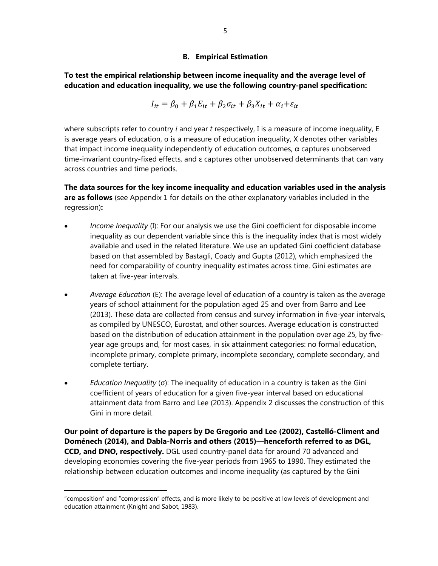## **B. Empirical Estimation**

**To test the empirical relationship between income inequality and the average level of education and education inequality, we use the following country-panel specification:** 

$$
I_{it} = \beta_0 + \beta_1 E_{it} + \beta_2 \sigma_{it} + \beta_3 X_{it} + \alpha_i + \varepsilon_{it}
$$

where subscripts refer to country *i* and year *t* respectively, I is a measure of income inequality, E is average years of education, σ is a measure of education inequality, X denotes other variables that impact income inequality independently of education outcomes,  $\alpha$  captures unobserved time-invariant country-fixed effects, and ε captures other unobserved determinants that can vary across countries and time periods.

**The data sources for the key income inequality and education variables used in the analysis are as follows** (see Appendix 1 for details on the other explanatory variables included in the regression)**:** 

- *Income Inequality* (I): For our analysis we use the Gini coefficient for disposable income inequality as our dependent variable since this is the inequality index that is most widely available and used in the related literature. We use an updated Gini coefficient database based on that assembled by Bastagli, Coady and Gupta (2012), which emphasized the need for comparability of country inequality estimates across time. Gini estimates are taken at five-year intervals.
- *Average Education* (E): The average level of education of a country is taken as the average years of school attainment for the population aged 25 and over from Barro and Lee (2013). These data are collected from census and survey information in five-year intervals, as compiled by UNESCO, Eurostat, and other sources. Average education is constructed based on the distribution of education attainment in the population over age 25, by fiveyear age groups and, for most cases, in six attainment categories: no formal education, incomplete primary, complete primary, incomplete secondary, complete secondary, and complete tertiary.
- *Education Inequality* (σ): The inequality of education in a country is taken as the Gini coefficient of years of education for a given five-year interval based on educational attainment data from Barro and Lee (2013). Appendix 2 discusses the construction of this Gini in more detail.

**Our point of departure is the papers by De Gregorio and Lee (2002), Castelló-Climent and Doménech (2014), and Dabla-Norris and others (2015)—henceforth referred to as DGL, CCD, and DNO, respectively.** DGL used country-panel data for around 70 advanced and developing economies covering the five-year periods from 1965 to 1990. They estimated the relationship between education outcomes and income inequality (as captured by the Gini

 $\overline{a}$ 

<sup>&</sup>quot;composition" and "compression" effects, and is more likely to be positive at low levels of development and education attainment (Knight and Sabot, 1983).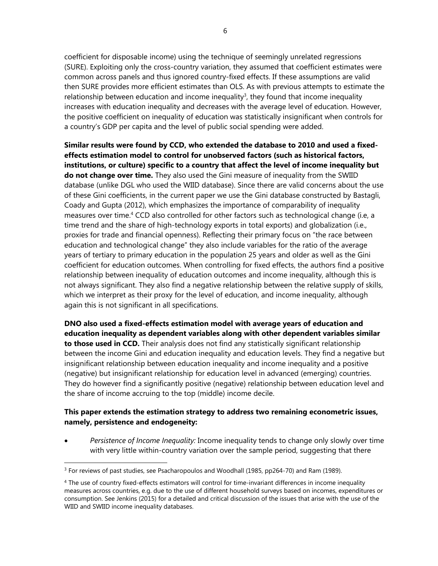coefficient for disposable income) using the technique of seemingly unrelated regressions (SURE). Exploiting only the cross-country variation, they assumed that coefficient estimates were common across panels and thus ignored country-fixed effects. If these assumptions are valid then SURE provides more efficient estimates than OLS. As with previous attempts to estimate the relationship between education and income inequality<sup>3</sup>, they found that income inequality increases with education inequality and decreases with the average level of education. However, the positive coefficient on inequality of education was statistically insignificant when controls for a country's GDP per capita and the level of public social spending were added.

**Similar results were found by CCD, who extended the database to 2010 and used a fixedeffects estimation model to control for unobserved factors (such as historical factors, institutions, or culture) specific to a country that affect the level of income inequality but do not change over time.** They also used the Gini measure of inequality from the SWIID database (unlike DGL who used the WIID database). Since there are valid concerns about the use of these Gini coefficients, in the current paper we use the Gini database constructed by Bastagli, Coady and Gupta (2012), which emphasizes the importance of comparability of inequality measures over time.4 CCD also controlled for other factors such as technological change (i.e, a time trend and the share of high-technology exports in total exports) and globalization (i.e., proxies for trade and financial openness). Reflecting their primary focus on "the race between education and technological change" they also include variables for the ratio of the average years of tertiary to primary education in the population 25 years and older as well as the Gini coefficient for education outcomes. When controlling for fixed effects, the authors find a positive relationship between inequality of education outcomes and income inequality, although this is not always significant. They also find a negative relationship between the relative supply of skills, which we interpret as their proxy for the level of education, and income inequality, although again this is not significant in all specifications.

**DNO also used a fixed-effects estimation model with average years of education and education inequality as dependent variables along with other dependent variables similar to those used in CCD.** Their analysis does not find any statistically significant relationship between the income Gini and education inequality and education levels. They find a negative but insignificant relationship between education inequality and income inequality and a positive (negative) but insignificant relationship for education level in advanced (emerging) countries. They do however find a significantly positive (negative) relationship between education level and the share of income accruing to the top (middle) income decile.

## **This paper extends the estimation strategy to address two remaining econometric issues, namely, persistence and endogeneity:**

 *Persistence of Income Inequality:* Income inequality tends to change only slowly over time with very little within-country variation over the sample period, suggesting that there

 $\overline{a}$  $3$  For reviews of past studies, see Psacharopoulos and Woodhall (1985, pp264-70) and Ram (1989).

<sup>&</sup>lt;sup>4</sup> The use of country fixed-effects estimators will control for time-invariant differences in income inequality measures across countries, e.g. due to the use of different household surveys based on incomes, expenditures or consumption. See Jenkins (2015) for a detailed and critical discussion of the issues that arise with the use of the WIID and SWIID income inequality databases.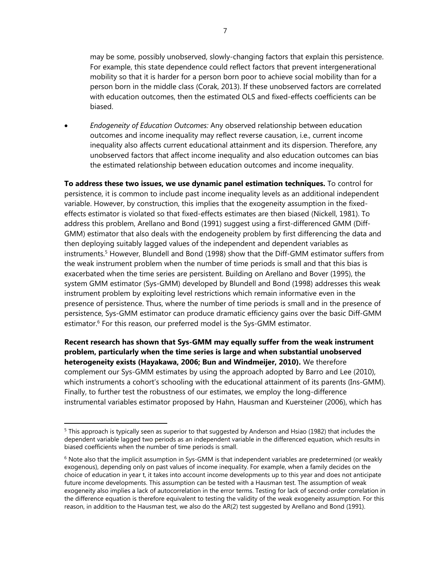may be some, possibly unobserved, slowly-changing factors that explain this persistence. For example, this state dependence could reflect factors that prevent intergenerational mobility so that it is harder for a person born poor to achieve social mobility than for a person born in the middle class (Corak, 2013). If these unobserved factors are correlated with education outcomes, then the estimated OLS and fixed-effects coefficients can be biased.

 *Endogeneity of Education Outcomes:* Any observed relationship between education outcomes and income inequality may reflect reverse causation, i.e., current income inequality also affects current educational attainment and its dispersion. Therefore, any unobserved factors that affect income inequality and also education outcomes can bias the estimated relationship between education outcomes and income inequality.

**To address these two issues, we use dynamic panel estimation techniques.** To control for persistence, it is common to include past income inequality levels as an additional independent variable. However, by construction, this implies that the exogeneity assumption in the fixedeffects estimator is violated so that fixed-effects estimates are then biased (Nickell, 1981). To address this problem, Arellano and Bond (1991) suggest using a first-differenced GMM (Diff-GMM) estimator that also deals with the endogeneity problem by first differencing the data and then deploying suitably lagged values of the independent and dependent variables as instruments.5 However, Blundell and Bond (1998) show that the Diff-GMM estimator suffers from the weak instrument problem when the number of time periods is small and that this bias is exacerbated when the time series are persistent. Building on Arellano and Bover (1995), the system GMM estimator (Sys-GMM) developed by Blundell and Bond (1998) addresses this weak instrument problem by exploiting level restrictions which remain informative even in the presence of persistence. Thus, where the number of time periods is small and in the presence of persistence, Sys-GMM estimator can produce dramatic efficiency gains over the basic Diff-GMM estimator.<sup>6</sup> For this reason, our preferred model is the Sys-GMM estimator.

**Recent research has shown that Sys-GMM may equally suffer from the weak instrument problem, particularly when the time series is large and when substantial unobserved heterogeneity exists (Hayakawa, 2006; Bun and Windmeijer, 2010).** We therefore complement our Sys-GMM estimates by using the approach adopted by Barro and Lee (2010), which instruments a cohort's schooling with the educational attainment of its parents (Ins-GMM). Finally, to further test the robustness of our estimates, we employ the long-difference instrumental variables estimator proposed by Hahn, Hausman and Kuersteiner (2006), which has

 $\overline{a}$ 

<sup>&</sup>lt;sup>5</sup> This approach is typically seen as superior to that suggested by Anderson and Hsiao (1982) that includes the dependent variable lagged two periods as an independent variable in the differenced equation, which results in biased coefficients when the number of time periods is small.

 $6$  Note also that the implicit assumption in Sys-GMM is that independent variables are predetermined (or weakly exogenous), depending only on past values of income inequality. For example, when a family decides on the choice of education in year t, it takes into account income developments up to this year and does not anticipate future income developments. This assumption can be tested with a Hausman test. The assumption of weak exogeneity also implies a lack of autocorrelation in the error terms. Testing for lack of second-order correlation in the difference equation is therefore equivalent to testing the validity of the weak exogeneity assumption. For this reason, in addition to the Hausman test, we also do the AR(2) test suggested by Arellano and Bond (1991).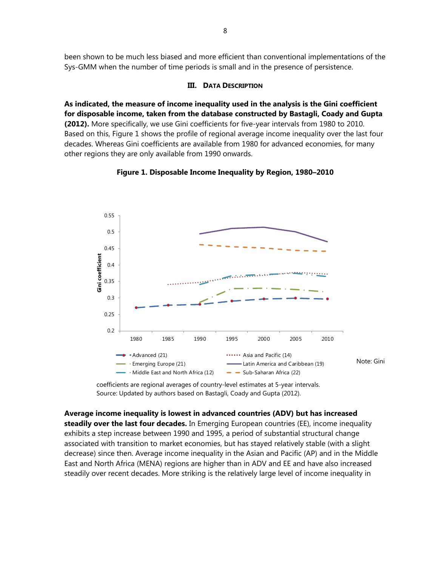been shown to be much less biased and more efficient than conventional implementations of the Sys-GMM when the number of time periods is small and in the presence of persistence.

## **III. DATA DESCRIPTION**

**As indicated, the measure of income inequality used in the analysis is the Gini coefficient for disposable income, taken from the database constructed by Bastagli, Coady and Gupta (2012).** More specifically, we use Gini coefficients for five-year intervals from 1980 to 2010. Based on this, Figure 1 shows the profile of regional average income inequality over the last four decades. Whereas Gini coefficients are available from 1980 for advanced economies, for many other regions they are only available from 1990 onwards.



## **Figure 1. Disposable Income Inequality by Region, 1980–2010**

coefficients are regional averages of country-level estimates at 5-year intervals. Source: Updated by authors based on Bastagli, Coady and Gupta (2012).

**Average income inequality is lowest in advanced countries (ADV) but has increased steadily over the last four decades.** In Emerging European countries (EE), income inequality exhibits a step increase between 1990 and 1995, a period of substantial structural change associated with transition to market economies, but has stayed relatively stable (with a slight decrease) since then. Average income inequality in the Asian and Pacific (AP) and in the Middle East and North Africa (MENA) regions are higher than in ADV and EE and have also increased steadily over recent decades. More striking is the relatively large level of income inequality in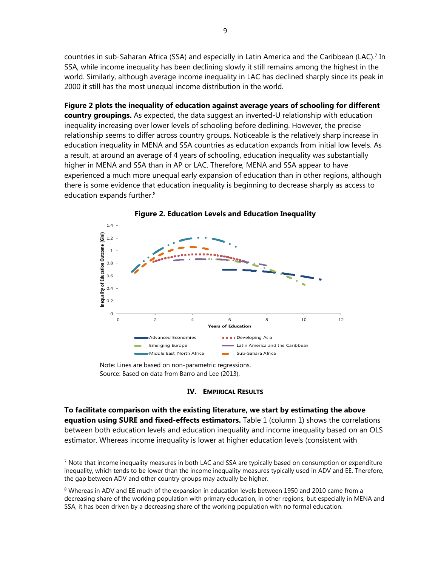countries in sub-Saharan Africa (SSA) and especially in Latin America and the Caribbean (LAC).7 In SSA, while income inequality has been declining slowly it still remains among the highest in the world. Similarly, although average income inequality in LAC has declined sharply since its peak in 2000 it still has the most unequal income distribution in the world.

**Figure 2 plots the inequality of education against average years of schooling for different country groupings.** As expected, the data suggest an inverted-U relationship with education inequality increasing over lower levels of schooling before declining. However, the precise relationship seems to differ across country groups. Noticeable is the relatively sharp increase in education inequality in MENA and SSA countries as education expands from initial low levels. As a result, at around an average of 4 years of schooling, education inequality was substantially higher in MENA and SSA than in AP or LAC. Therefore, MENA and SSA appear to have experienced a much more unequal early expansion of education than in other regions, although there is some evidence that education inequality is beginning to decrease sharply as access to education expands further.<sup>8</sup>





Note: Lines are based on non-parametric regressions. Source: Based on data from Barro and Lee (2013).

 $\overline{a}$ 

#### **IV. EMPIRICAL RESULTS**

**To facilitate comparison with the existing literature, we start by estimating the above equation using SURE and fixed-effects estimators.** Table 1 (column 1) shows the correlations between both education levels and education inequality and income inequality based on an OLS estimator. Whereas income inequality is lower at higher education levels (consistent with

 $<sup>7</sup>$  Note that income inequality measures in both LAC and SSA are typically based on consumption or expenditure</sup> inequality, which tends to be lower than the income inequality measures typically used in ADV and EE. Therefore, the gap between ADV and other country groups may actually be higher.

<sup>&</sup>lt;sup>8</sup> Whereas in ADV and EE much of the expansion in education levels between 1950 and 2010 came from a decreasing share of the working population with primary education, in other regions, but especially in MENA and SSA, it has been driven by a decreasing share of the working population with no formal education.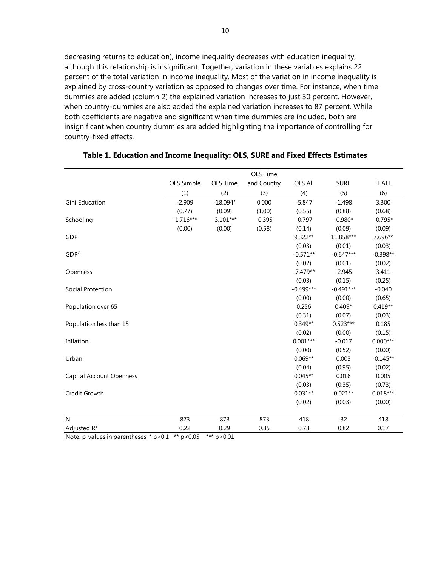decreasing returns to education), income inequality decreases with education inequality, although this relationship is insignificant. Together, variation in these variables explains 22 percent of the total variation in income inequality. Most of the variation in income inequality is explained by cross-country variation as opposed to changes over time. For instance, when time dummies are added (column 2) the explained variation increases to just 30 percent. However, when country-dummies are also added the explained variation increases to 87 percent. While both coefficients are negative and significant when time dummies are included, both are insignificant when country dummies are added highlighting the importance of controlling for country-fixed effects.

|                                 | OLS Time    |             |             |                |             |              |
|---------------------------------|-------------|-------------|-------------|----------------|-------------|--------------|
|                                 | OLS Simple  | OLS Time    | and Country | <b>OLS All</b> | <b>SURE</b> | <b>FEALL</b> |
|                                 | (1)         | (2)         | (3)         | (4)            | (5)         | (6)          |
| Gini Education                  | $-2.909$    | $-18.094*$  | 0.000       | $-5.847$       | $-1.498$    | 3.300        |
|                                 | (0.77)      | (0.09)      | (1.00)      | (0.55)         | (0.88)      | (0.68)       |
| Schooling                       | $-1.716***$ | $-3.101***$ | $-0.395$    | $-0.797$       | $-0.980*$   | $-0.795*$    |
|                                 | (0.00)      | (0.00)      | (0.58)      | (0.14)         | (0.09)      | (0.09)       |
| GDP                             |             |             |             | 9.322**        | 11.858***   | 7.696**      |
|                                 |             |             |             | (0.03)         | (0.01)      | (0.03)       |
| GDP <sup>2</sup>                |             |             |             | $-0.571**$     | $-0.647***$ | $-0.398**$   |
|                                 |             |             |             | (0.02)         | (0.01)      | (0.02)       |
| Openness                        |             |             |             | $-7.479**$     | $-2.945$    | 3.411        |
|                                 |             |             |             | (0.03)         | (0.15)      | (0.25)       |
| Social Protection               |             |             |             | $-0.499***$    | $-0.491***$ | $-0.040$     |
|                                 |             |             |             | (0.00)         | (0.00)      | (0.65)       |
| Population over 65              |             |             |             | 0.256          | $0.409*$    | $0.419**$    |
|                                 |             |             |             | (0.31)         | (0.07)      | (0.03)       |
| Population less than 15         |             |             |             | $0.349**$      | $0.523***$  | 0.185        |
|                                 |             |             |             | (0.02)         | (0.00)      | (0.15)       |
| Inflation                       |             |             |             | $0.001***$     | $-0.017$    | $0.000***$   |
|                                 |             |             |             | (0.00)         | (0.52)      | (0.00)       |
| Urban                           |             |             |             | $0.069**$      | 0.003       | $-0.145**$   |
|                                 |             |             |             | (0.04)         | (0.95)      | (0.02)       |
| <b>Capital Account Openness</b> |             |             |             | $0.045**$      | 0.016       | 0.005        |
|                                 |             |             |             | (0.03)         | (0.35)      | (0.73)       |
| Credit Growth                   |             |             |             | $0.031**$      | $0.021**$   | $0.018***$   |
|                                 |             |             |             | (0.02)         | (0.03)      | (0.00)       |
| N                               | 873         | 873         | 873         | 418            | 32          | 418          |
| Adjusted $R^2$                  | 0.22        | 0.29        | 0.85        | 0.78           | 0.82        | 0.17         |

## **Table 1. Education and Income Inequality: OLS, SURE and Fixed Effects Estimates**

Note: p-values in parentheses: \*  $p$  < 0.1 \*\*  $p$  < 0.05 \*\*\*  $p$  < 0.01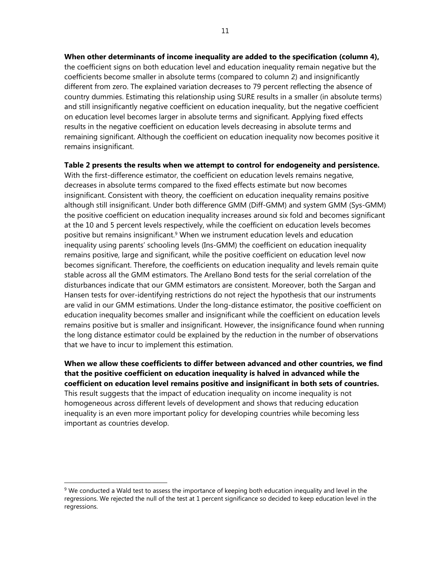**When other determinants of income inequality are added to the specification (column 4),**  the coefficient signs on both education level and education inequality remain negative but the coefficients become smaller in absolute terms (compared to column 2) and insignificantly different from zero. The explained variation decreases to 79 percent reflecting the absence of country dummies. Estimating this relationship using SURE results in a smaller (in absolute terms) and still insignificantly negative coefficient on education inequality, but the negative coefficient on education level becomes larger in absolute terms and significant. Applying fixed effects results in the negative coefficient on education levels decreasing in absolute terms and remaining significant. Although the coefficient on education inequality now becomes positive it remains insignificant.

**Table 2 presents the results when we attempt to control for endogeneity and persistence.**  With the first-difference estimator, the coefficient on education levels remains negative, decreases in absolute terms compared to the fixed effects estimate but now becomes insignificant. Consistent with theory, the coefficient on education inequality remains positive although still insignificant. Under both difference GMM (Diff-GMM) and system GMM (Sys-GMM) the positive coefficient on education inequality increases around six fold and becomes significant at the 10 and 5 percent levels respectively, while the coefficient on education levels becomes positive but remains insignificant.9 When we instrument education levels and education inequality using parents' schooling levels (Ins-GMM) the coefficient on education inequality remains positive, large and significant, while the positive coefficient on education level now becomes significant. Therefore, the coefficients on education inequality and levels remain quite stable across all the GMM estimators. The Arellano Bond tests for the serial correlation of the disturbances indicate that our GMM estimators are consistent. Moreover, both the Sargan and Hansen tests for over-identifying restrictions do not reject the hypothesis that our instruments are valid in our GMM estimations. Under the long-distance estimator, the positive coefficient on education inequality becomes smaller and insignificant while the coefficient on education levels remains positive but is smaller and insignificant. However, the insignificance found when running the long distance estimator could be explained by the reduction in the number of observations that we have to incur to implement this estimation.

**When we allow these coefficients to differ between advanced and other countries, we find that the positive coefficient on education inequality is halved in advanced while the coefficient on education level remains positive and insignificant in both sets of countries.**

This result suggests that the impact of education inequality on income inequality is not homogeneous across different levels of development and shows that reducing education inequality is an even more important policy for developing countries while becoming less important as countries develop.

 $\overline{a}$ 

<sup>&</sup>lt;sup>9</sup> We conducted a Wald test to assess the importance of keeping both education inequality and level in the regressions. We rejected the null of the test at 1 percent significance so decided to keep education level in the regressions.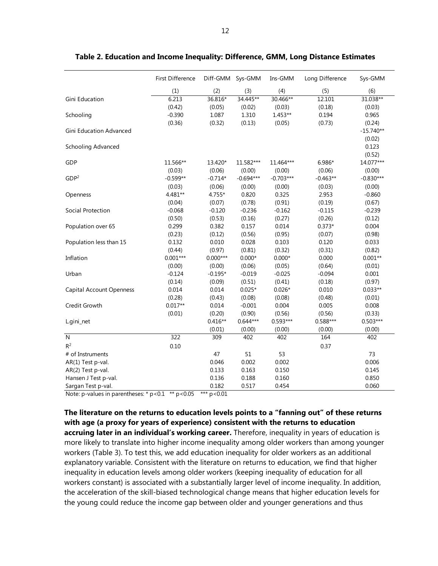|                                 | First Difference | Diff-GMM Sys-GMM |             | Ins-GMM     | Long Difference | Sys-GMM     |
|---------------------------------|------------------|------------------|-------------|-------------|-----------------|-------------|
|                                 | (1)              | (2)              | (3)         | (4)         | (5)             | (6)         |
| Gini Education                  | 6.213            | 36.816*          | 34.445**    | 30.466**    | 12.101          | 31.038**    |
|                                 | (0.42)           | (0.05)           | (0.02)      | (0.03)      | (0.18)          | (0.03)      |
| Schooling                       | $-0.390$         | 1.087            | 1.310       | $1.453**$   | 0.194           | 0.965       |
|                                 | (0.36)           | (0.32)           | (0.13)      | (0.05)      | (0.73)          | (0.24)      |
| <b>Gini Education Advanced</b>  |                  |                  |             |             |                 | $-15.740**$ |
|                                 |                  |                  |             |             |                 | (0.02)      |
| Schooling Advanced              |                  |                  |             |             |                 | 0.123       |
|                                 |                  |                  |             |             |                 | (0.52)      |
| GDP                             | 11.566**         | 13.420*          | 11.582***   | 11.464***   | 6.986*          | 14.077***   |
|                                 | (0.03)           | (0.06)           | (0.00)      | (0.00)      | (0.06)          | (0.00)      |
| GDP <sup>2</sup>                | $-0.599**$       | $-0.714*$        | $-0.694***$ | $-0.703***$ | $-0.463**$      | $-0.830***$ |
|                                 | (0.03)           | (0.06)           | (0.00)      | (0.00)      | (0.03)          | (0.00)      |
| Openness                        | 4.481**          | $4.755*$         | 0.820       | 0.325       | 2.953           | $-0.860$    |
|                                 | (0.04)           | (0.07)           | (0.78)      | (0.91)      | (0.19)          | (0.67)      |
| Social Protection               | $-0.068$         | $-0.120$         | $-0.236$    | $-0.162$    | $-0.115$        | $-0.239$    |
|                                 | (0.50)           | (0.53)           | (0.16)      | (0.27)      | (0.26)          | (0.12)      |
| Population over 65              | 0.299            | 0.382            | 0.157       | 0.014       | $0.373*$        | 0.004       |
|                                 | (0.23)           | (0.12)           | (0.56)      | (0.95)      | (0.07)          | (0.98)      |
| Population less than 15         | 0.132            | 0.010            | 0.028       | 0.103       | 0.120           | 0.033       |
|                                 | (0.44)           | (0.97)           | (0.81)      | (0.32)      | (0.31)          | (0.82)      |
| Inflation                       | $0.001***$       | $0.000***$       | $0.000*$    | $0.000*$    | 0.000           | $0.001**$   |
|                                 | (0.00)           | (0.00)           | (0.06)      | (0.05)      | (0.64)          | (0.01)      |
| Urban                           | $-0.124$         | $-0.195*$        | $-0.019$    | $-0.025$    | $-0.094$        | 0.001       |
|                                 | (0.14)           | (0.09)           | (0.51)      | (0.41)      | (0.18)          | (0.97)      |
| <b>Capital Account Openness</b> | 0.014            | 0.014            | $0.025*$    | $0.026*$    | 0.010           | $0.033**$   |
|                                 | (0.28)           | (0.43)           | (0.08)      | (0.08)      | (0.48)          | (0.01)      |
| Credit Growth                   | $0.017**$        | 0.014            | $-0.001$    | 0.004       | 0.005           | 0.008       |
|                                 | (0.01)           | (0.20)           | (0.90)      | (0.56)      | (0.56)          | (0.33)      |
| L.gini_net                      |                  | $0.416**$        | $0.644***$  | $0.593***$  | 0.588***        | $0.503***$  |
|                                 |                  | (0.01)           | (0.00)      | (0.00)      | (0.00)          | (0.00)      |
| ${\sf N}$                       | 322              | 309              | 402         | 402         | 164             | 402         |
| $R^2$                           | 0.10             |                  |             |             | 0.37            |             |
| # of Instruments                |                  | 47               | 51          | 53          |                 | 73          |
| AR(1) Test p-val.               |                  | 0.046            | 0.002       | 0.002       |                 | 0.006       |
| AR(2) Test p-val.               |                  | 0.133            | 0.163       | 0.150       |                 | 0.145       |
| Hansen J Test p-val.            |                  | 0.136            | 0.188       | 0.160       |                 | 0.850       |
| Sargan Test p-val.              |                  | 0.182            | 0.517       | 0.454       |                 | 0.060       |

**Table 2. Education and Income Inequality: Difference, GMM, Long Distance Estimates** 

Note: p-values in parentheses:  $* p < 0.1$  \*\*  $p < 0.05$  \*\*\*  $p < 0.01$ 

**The literature on the returns to education levels points to a "fanning out" of these returns with age (a proxy for years of experience) consistent with the returns to education accruing later in an individual's working career.** Therefore, inequality in years of education is more likely to translate into higher income inequality among older workers than among younger workers (Table 3). To test this, we add education inequality for older workers as an additional explanatory variable. Consistent with the literature on returns to education, we find that higher inequality in education levels among older workers (keeping inequality of education for all workers constant) is associated with a substantially larger level of income inequality. In addition, the acceleration of the skill-biased technological change means that higher education levels for the young could reduce the income gap between older and younger generations and thus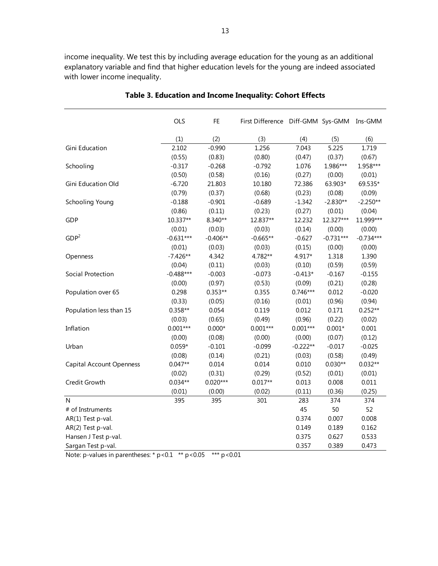income inequality. We test this by including average education for the young as an additional explanatory variable and find that higher education levels for the young are indeed associated with lower income inequality.

|                                 | OLS         | FE         | First Difference Diff-GMM Sys-GMM |            |             | Ins-GMM     |
|---------------------------------|-------------|------------|-----------------------------------|------------|-------------|-------------|
|                                 | (1)         | (2)        | (3)                               | (4)        | (5)         | (6)         |
| Gini Education                  | 2.102       | $-0.990$   | 1.256                             | 7.043      | 5.225       | 1.719       |
|                                 | (0.55)      | (0.83)     | (0.80)                            | (0.47)     | (0.37)      | (0.67)      |
| Schooling                       | $-0.317$    | $-0.268$   | $-0.792$                          | 1.076      | 1.986***    | 1.958***    |
|                                 | (0.50)      | (0.58)     | (0.16)                            | (0.27)     | (0.00)      | (0.01)      |
| Gini Education Old              | $-6.720$    | 21.803     | 10.180                            | 72.386     | 63.903*     | 69.535*     |
|                                 | (0.79)      | (0.37)     | (0.68)                            | (0.23)     | (0.08)      | (0.09)      |
| Schooling Young                 | $-0.188$    | $-0.901$   | $-0.689$                          | $-1.342$   | $-2.830**$  | $-2.250**$  |
|                                 | (0.86)      | (0.11)     | (0.23)                            | (0.27)     | (0.01)      | (0.04)      |
| GDP                             | 10.337**    | 8.340**    | 12.837**                          | 12.232     | 12.327***   | 11.999***   |
|                                 | (0.01)      | (0.03)     | (0.03)                            | (0.14)     | (0.00)      | (0.00)      |
| GDP <sup>2</sup>                | $-0.631***$ | $-0.406**$ | $-0.665**$                        | $-0.627$   | $-0.731***$ | $-0.734***$ |
|                                 | (0.01)      | (0.03)     | (0.03)                            | (0.15)     | (0.00)      | (0.00)      |
| Openness                        | $-7.426**$  | 4.342      | 4.782**                           | 4.917*     | 1.318       | 1.390       |
|                                 | (0.04)      | (0.11)     | (0.03)                            | (0.10)     | (0.59)      | (0.59)      |
| Social Protection               | $-0.488***$ | $-0.003$   | $-0.073$                          | $-0.413*$  | $-0.167$    | $-0.155$    |
|                                 | (0.00)      | (0.97)     | (0.53)                            | (0.09)     | (0.21)      | (0.28)      |
| Population over 65              | 0.298       | $0.353**$  | 0.355                             | $0.746***$ | 0.012       | $-0.020$    |
|                                 | (0.33)      | (0.05)     | (0.16)                            | (0.01)     | (0.96)      | (0.94)      |
| Population less than 15         | 0.358**     | 0.054      | 0.119                             | 0.012      | 0.171       | $0.252**$   |
|                                 | (0.03)      | (0.65)     | (0.49)                            | (0.96)     | (0.22)      | (0.02)      |
| Inflation                       | $0.001***$  | $0.000*$   | $0.001***$                        | $0.001***$ | $0.001*$    | 0.001       |
|                                 | (0.00)      | (0.08)     | (0.00)                            | (0.00)     | (0.07)      | (0.12)      |
| Urban                           | $0.059*$    | $-0.101$   | $-0.099$                          | $-0.222**$ | $-0.017$    | $-0.025$    |
|                                 | (0.08)      | (0.14)     | (0.21)                            | (0.03)     | (0.58)      | (0.49)      |
| <b>Capital Account Openness</b> | $0.047**$   | 0.014      | 0.014                             | 0.010      | $0.030**$   | $0.032**$   |
|                                 | (0.02)      | (0.31)     | (0.29)                            | (0.52)     | (0.01)      | (0.01)      |
| Credit Growth                   | $0.034**$   | $0.020***$ | $0.017**$                         | 0.013      | 0.008       | 0.011       |
|                                 | (0.01)      | (0.00)     | (0.02)                            | (0.11)     | (0.36)      | (0.25)      |
| N                               | 395         | 395        | 301                               | 283        | 374         | 374         |
| # of Instruments                |             |            |                                   | 45         | 50          | 52          |
| AR(1) Test p-val.               |             |            |                                   | 0.374      | 0.007       | 0.008       |
| AR(2) Test p-val.               |             |            |                                   | 0.149      | 0.189       | 0.162       |
| Hansen J Test p-val.            |             |            |                                   | 0.375      | 0.627       | 0.533       |
| Sargan Test p-val.              |             |            |                                   | 0.357      | 0.389       | 0.473       |

**Table 3. Education and Income Inequality: Cohort Effects** 

Note: p-values in parentheses: \*  $p < 0.1$  \*\*  $p < 0.05$  \*\*\*  $p < 0.01$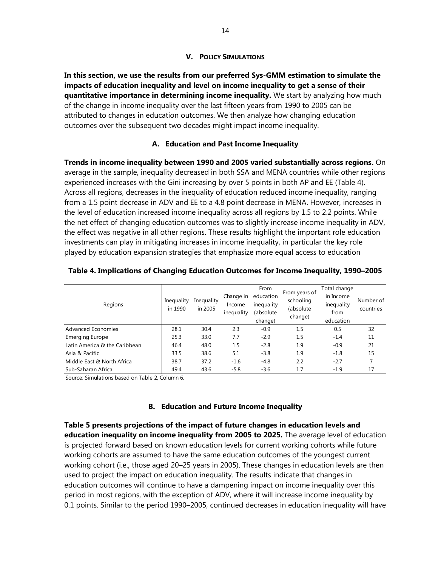## **V. POLICY SIMULATIONS**

**In this section, we use the results from our preferred Sys-GMM estimation to simulate the impacts of education inequality and level on income inequality to get a sense of their quantitative importance in determining income inequality.** We start by analyzing how much of the change in income inequality over the last fifteen years from 1990 to 2005 can be attributed to changes in education outcomes. We then analyze how changing education outcomes over the subsequent two decades might impact income inequality.

## **A. Education and Past Income Inequality**

**Trends in income inequality between 1990 and 2005 varied substantially across regions.** On average in the sample, inequality decreased in both SSA and MENA countries while other regions experienced increases with the Gini increasing by over 5 points in both AP and EE (Table 4). Across all regions, decreases in the inequality of education reduced income inequality, ranging from a 1.5 point decrease in ADV and EE to a 4.8 point decrease in MENA. However, increases in the level of education increased income inequality across all regions by 1.5 to 2.2 points. While the net effect of changing education outcomes was to slightly increase income inequality in ADV, the effect was negative in all other regions. These results highlight the important role education investments can play in mitigating increases in income inequality, in particular the key role played by education expansion strategies that emphasize more equal access to education

| Regions                       | Inequality<br>in 1990 | Inequality<br>in 2005 | Change in<br>Income<br>inequality | From<br>education<br>inequality<br>(absolute<br>change) | From years of<br>schooling<br>(absolute<br>change) | Total change<br>in Income<br>inequality<br>from<br>education | Number of<br>countries |
|-------------------------------|-----------------------|-----------------------|-----------------------------------|---------------------------------------------------------|----------------------------------------------------|--------------------------------------------------------------|------------------------|
| Advanced Economies            | 28.1                  | 30.4                  | 2.3                               | $-0.9$                                                  | 1.5                                                | 0.5                                                          | 32                     |
| <b>Emerging Europe</b>        | 25.3                  | 33.0                  | 7.7                               | $-2.9$                                                  | 1.5                                                | $-1.4$                                                       | 11                     |
| Latin America & the Caribbean | 46.4                  | 48.0                  | 1.5                               | $-2.8$                                                  | 1.9                                                | $-0.9$                                                       | 21                     |
| Asia & Pacific                | 33.5                  | 38.6                  | 5.1                               | $-3.8$                                                  | 1.9                                                | $-1.8$                                                       | 15                     |
| Middle East & North Africa    | 38.7                  | 37.2                  | $-1.6$                            | $-4.8$                                                  | 2.2                                                | $-2.7$                                                       |                        |
| Sub-Saharan Africa            | 49.4                  | 43.6                  | $-5.8$                            | $-3.6$                                                  | 1.7                                                | $-1.9$                                                       | 17                     |

|  |  | Table 4. Implications of Changing Education Outcomes for Income Inequality, 1990-2005 |  |  |
|--|--|---------------------------------------------------------------------------------------|--|--|
|  |  |                                                                                       |  |  |

Source: Simulations based on Table 2, Column 6.

## **B. Education and Future Income Inequality**

**Table 5 presents projections of the impact of future changes in education levels and education inequality on income inequality from 2005 to 2025.** The average level of education is projected forward based on known education levels for current working cohorts while future working cohorts are assumed to have the same education outcomes of the youngest current working cohort (i.e., those aged 20–25 years in 2005). These changes in education levels are then used to project the impact on education inequality. The results indicate that changes in education outcomes will continue to have a dampening impact on income inequality over this period in most regions, with the exception of ADV, where it will increase income inequality by 0.1 points. Similar to the period 1990–2005, continued decreases in education inequality will have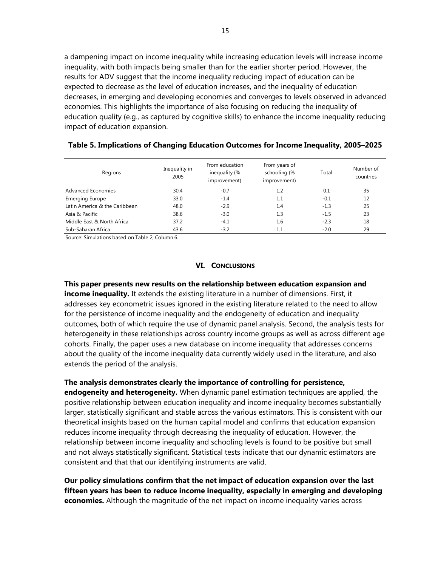a dampening impact on income inequality while increasing education levels will increase income inequality, with both impacts being smaller than for the earlier shorter period. However, the results for ADV suggest that the income inequality reducing impact of education can be expected to decrease as the level of education increases, and the inequality of education decreases, in emerging and developing economies and converges to levels observed in advanced economies. This highlights the importance of also focusing on reducing the inequality of education quality (e.g., as captured by cognitive skills) to enhance the income inequality reducing impact of education expansion.

| Regions                       | Inequality in<br>2005 | From education<br>inequality (%<br>improvement) | From years of<br>schooling (%<br>improvement) | Total  | Number of<br>countries |
|-------------------------------|-----------------------|-------------------------------------------------|-----------------------------------------------|--------|------------------------|
| Advanced Economies            | 30.4                  | $-0.7$                                          | $1.2\phantom{0}$                              | 0.1    | 35                     |
| <b>Emerging Europe</b>        | 33.0                  | $-1.4$                                          | 1.1                                           | $-0.1$ | 12                     |
| Latin America & the Caribbean | 48.0                  | $-2.9$                                          | 1.4                                           | $-1.3$ | 25                     |
| Asia & Pacific                | 38.6                  | $-3.0$                                          | 1.3                                           | $-1.5$ | 23                     |
| Middle East & North Africa    | 37.2                  | $-4.1$                                          | 1.6                                           | $-2.3$ | 18                     |
| Sub-Saharan Africa            | 43.6                  | $-3.2$                                          | $1.1\,$                                       | $-2.0$ | 29                     |

#### **Table 5. Implications of Changing Education Outcomes for Income Inequality, 2005–2025**

Source: Simulations based on Table 2, Column 6.

#### **VI. CONCLUSIONS**

**This paper presents new results on the relationship between education expansion and income inequality.** It extends the existing literature in a number of dimensions. First, it addresses key econometric issues ignored in the existing literature related to the need to allow for the persistence of income inequality and the endogeneity of education and inequality outcomes, both of which require the use of dynamic panel analysis. Second, the analysis tests for heterogeneity in these relationships across country income groups as well as across different age cohorts. Finally, the paper uses a new database on income inequality that addresses concerns about the quality of the income inequality data currently widely used in the literature, and also extends the period of the analysis.

**The analysis demonstrates clearly the importance of controlling for persistence,** 

**endogeneity and heterogeneity.** When dynamic panel estimation techniques are applied, the positive relationship between education inequality and income inequality becomes substantially larger, statistically significant and stable across the various estimators. This is consistent with our theoretical insights based on the human capital model and confirms that education expansion reduces income inequality through decreasing the inequality of education. However, the relationship between income inequality and schooling levels is found to be positive but small and not always statistically significant. Statistical tests indicate that our dynamic estimators are consistent and that that our identifying instruments are valid.

**Our policy simulations confirm that the net impact of education expansion over the last fifteen years has been to reduce income inequality, especially in emerging and developing economies.** Although the magnitude of the net impact on income inequality varies across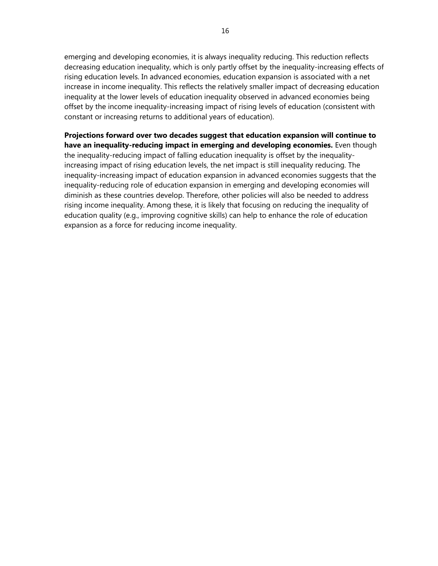emerging and developing economies, it is always inequality reducing. This reduction reflects decreasing education inequality, which is only partly offset by the inequality-increasing effects of rising education levels. In advanced economies, education expansion is associated with a net increase in income inequality. This reflects the relatively smaller impact of decreasing education inequality at the lower levels of education inequality observed in advanced economies being offset by the income inequality-increasing impact of rising levels of education (consistent with constant or increasing returns to additional years of education).

**Projections forward over two decades suggest that education expansion will continue to have an inequality-reducing impact in emerging and developing economies.** Even though the inequality-reducing impact of falling education inequality is offset by the inequalityincreasing impact of rising education levels, the net impact is still inequality reducing. The inequality-increasing impact of education expansion in advanced economies suggests that the inequality-reducing role of education expansion in emerging and developing economies will diminish as these countries develop. Therefore, other policies will also be needed to address rising income inequality. Among these, it is likely that focusing on reducing the inequality of education quality (e.g., improving cognitive skills) can help to enhance the role of education expansion as a force for reducing income inequality.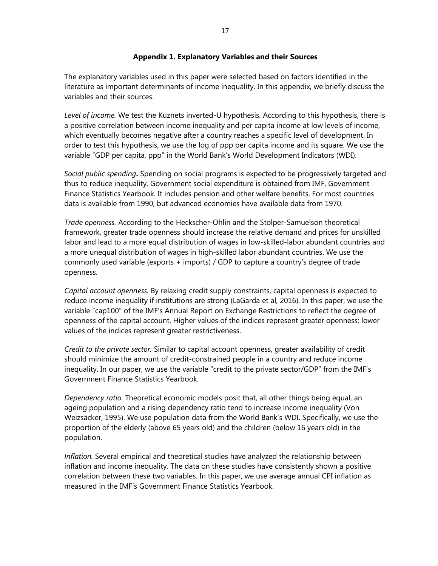## **Appendix 1. Explanatory Variables and their Sources**

The explanatory variables used in this paper were selected based on factors identified in the literature as important determinants of income inequality. In this appendix, we briefly discuss the variables and their sources.

*Level of income.* We test the Kuznets inverted-U hypothesis. According to this hypothesis, there is a positive correlation between income inequality and per capita income at low levels of income, which eventually becomes negative after a country reaches a specific level of development. In order to test this hypothesis, we use the log of ppp per capita income and its square. We use the variable "GDP per capita, ppp" in the World Bank's World Development Indicators (WDI).

*Social public spending***.** Spending on social programs is expected to be progressively targeted and thus to reduce inequality. Government social expenditure is obtained from IMF, Government Finance Statistics Yearbook. It includes pension and other welfare benefits. For most countries data is available from 1990, but advanced economies have available data from 1970.

*Trade openness.* According to the Heckscher-Ohlin and the Stolper-Samuelson theoretical framework, greater trade openness should increase the relative demand and prices for unskilled labor and lead to a more equal distribution of wages in low-skilled-labor abundant countries and a more unequal distribution of wages in high-skilled labor abundant countries. We use the commonly used variable (exports + imports) / GDP to capture a country's degree of trade openness.

*Capital account openness.* By relaxing credit supply constraints, capital openness is expected to reduce income inequality if institutions are strong (LaGarda et al, 2016). In this paper, we use the variable "cap100" of the IMF's Annual Report on Exchange Restrictions to reflect the degree of openness of the capital account. Higher values of the indices represent greater openness; lower values of the indices represent greater restrictiveness.

*Credit to the private sector.* Similar to capital account openness, greater availability of credit should minimize the amount of credit-constrained people in a country and reduce income inequality. In our paper, we use the variable "credit to the private sector/GDP" from the IMF's Government Finance Statistics Yearbook.

*Dependency ratio.* Theoretical economic models posit that, all other things being equal, an ageing population and a rising dependency ratio tend to increase income inequality (Von Weizsäcker, 1995). We use population data from the World Bank's WDI. Specifically, we use the proportion of the elderly (above 65 years old) and the children (below 16 years old) in the population.

*Inflation.* Several empirical and theoretical studies have analyzed the relationship between inflation and income inequality. The data on these studies have consistently shown a positive correlation between these two variables. In this paper, we use average annual CPI inflation as measured in the IMF's Government Finance Statistics Yearbook.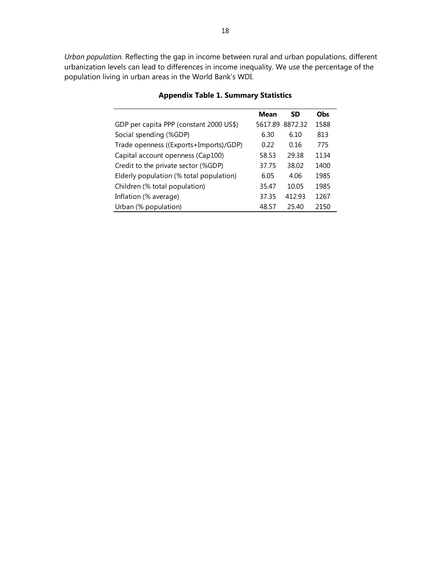*Urban population.* Reflecting the gap in income between rural and urban populations, different urbanization levels can lead to differences in income inequality. We use the percentage of the population living in urban areas in the World Bank's WDI.

|                                         | Mean    | SD      | <b>Obs</b> |  |
|-----------------------------------------|---------|---------|------------|--|
| GDP per capita PPP (constant 2000 US\$) | 5617.89 | 8872.32 | 1588       |  |
| Social spending (%GDP)                  | 6.30    | 6.10    | 813        |  |
| Trade openness ((Exports+Imports)/GDP)  | 0.22    | 0.16    | 775        |  |
| Capital account openness (Cap100)       | 58.53   | 29.38   | 1134       |  |
| Credit to the private sector (%GDP)     | 37.75   | 38.02   | 1400       |  |
| Elderly population (% total population) | 6.05    | 4.06    | 1985       |  |
| Children (% total population)           | 35.47   | 10.05   | 1985       |  |
| Inflation (% average)                   | 37.35   | 412.93  | 1267       |  |
| Urban (% population)                    | 48.57   | 25.40   | 2150       |  |

## **Appendix Table 1. Summary Statistics**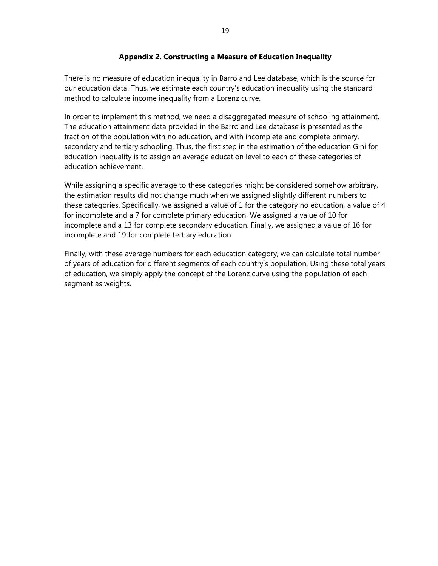## **Appendix 2. Constructing a Measure of Education Inequality**

There is no measure of education inequality in Barro and Lee database, which is the source for our education data. Thus, we estimate each country's education inequality using the standard method to calculate income inequality from a Lorenz curve.

In order to implement this method, we need a disaggregated measure of schooling attainment. The education attainment data provided in the Barro and Lee database is presented as the fraction of the population with no education, and with incomplete and complete primary, secondary and tertiary schooling. Thus, the first step in the estimation of the education Gini for education inequality is to assign an average education level to each of these categories of education achievement.

While assigning a specific average to these categories might be considered somehow arbitrary, the estimation results did not change much when we assigned slightly different numbers to these categories. Specifically, we assigned a value of 1 for the category no education, a value of 4 for incomplete and a 7 for complete primary education. We assigned a value of 10 for incomplete and a 13 for complete secondary education. Finally, we assigned a value of 16 for incomplete and 19 for complete tertiary education.

Finally, with these average numbers for each education category, we can calculate total number of years of education for different segments of each country's population. Using these total years of education, we simply apply the concept of the Lorenz curve using the population of each segment as weights.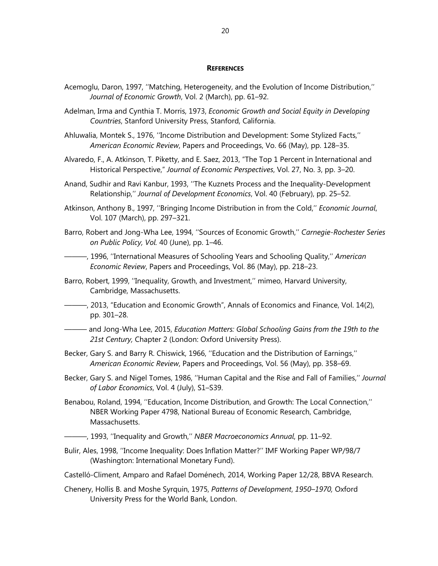#### **REFERENCES**

- Acemoglu, Daron, 1997, ''Matching, Heterogeneity, and the Evolution of Income Distribution,'' *Journal of Economic Growth*, Vol. 2 (March), pp. 61–92.
- Adelman, Irma and Cynthia T. Morris, 1973, *Economic Growth and Social Equity in Developing Countries*, Stanford University Press, Stanford, California.
- Ahluwalia, Montek S., 1976, ''Income Distribution and Development: Some Stylized Facts,'' *American Economic Review*, Papers and Proceedings, Vo. 66 (May), pp. 128–35.
- Alvaredo, F., A. Atkinson, T. Piketty, and E. Saez, 2013, "The Top 1 Percent in International and Historical Perspective," *Journal of Economic Perspectives*, Vol. 27, No. 3, pp. 3–20.
- Anand, Sudhir and Ravi Kanbur, 1993, ''The Kuznets Process and the Inequality-Development Relationship,'' *Journal of Development Economics*, Vol. 40 (February), pp. 25–52.
- Atkinson, Anthony B., 1997, ''Bringing Income Distribution in from the Cold,'' *Economic Journal*, Vol. 107 (March), pp. 297–321.
- Barro, Robert and Jong-Wha Lee, 1994, ''Sources of Economic Growth,'' *Carnegie*-*Rochester Series on Public Policy, Vol.* 40 (June), pp. 1–46.
- ———, 1996, ''International Measures of Schooling Years and Schooling Quality,'' *American Economic Review*, Papers and Proceedings, Vol. 86 (May), pp. 218–23.
- Barro, Robert, 1999, ''Inequality, Growth, and Investment,'' mimeo, Harvard University, Cambridge, Massachusetts.
- ———, 2013, "Education and Economic Growth", Annals of Economics and Finance, Vol. 14(2), pp. 301–28.
- ——— and Jong-Wha Lee, 2015, *Education Matters: Global Schooling Gains from the 19th to the 21st Century,* Chapter 2 (London: Oxford University Press).
- Becker, Gary S. and Barry R. Chiswick, 1966, ''Education and the Distribution of Earnings,'' *American Economic Review*, Papers and Proceedings, Vol. 56 (May), pp. 358–69.
- Becker, Gary S. and Nigel Tomes, 1986, ''Human Capital and the Rise and Fall of Families,'' *Journal of Labor Economics*, Vol. 4 (July), S1–S39.
- Benabou, Roland, 1994, ''Education, Income Distribution, and Growth: The Local Connection,'' NBER Working Paper 4798, National Bureau of Economic Research, Cambridge, Massachusetts.
- ———, 1993, ''Inequality and Growth,'' *NBER Macroeconomics Annual*, pp. 11–92.
- Bulir, Ales, 1998, ''Income Inequality: Does Inflation Matter?'' IMF Working Paper WP/98/7 (Washington: International Monetary Fund).
- Castelló-Climent, Amparo and Rafael Doménech, 2014, Working Paper 12/28, BBVA Research.
- Chenery, Hollis B. and Moshe Syrquin, 1975, *Patterns of Development*, *1950–1970,* Oxford University Press for the World Bank, London.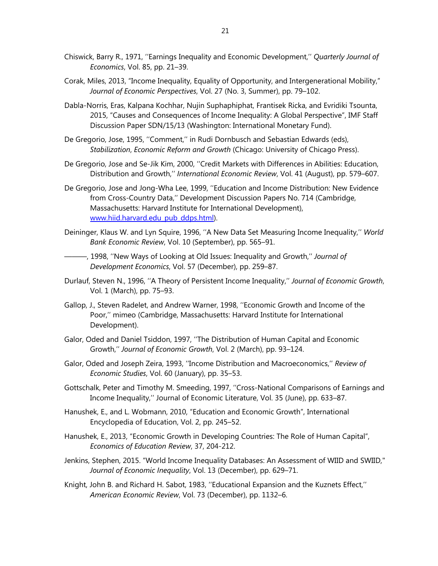- Chiswick, Barry R., 1971, ''Earnings Inequality and Economic Development,'' *Quarterly Journal of Economics*, Vol. 85, pp. 21–39.
- Corak, Miles, 2013, "Income Inequality, Equality of Opportunity, and Intergenerational Mobility," *Journal of Economic Perspectives*, Vol. 27 (No. 3, Summer), pp. 79–102.
- Dabla-Norris, Eras, Kalpana Kochhar, Nujin Suphaphiphat, Frantisek Ricka, and Evridiki Tsounta, 2015, "Causes and Consequences of Income Inequality: A Global Perspective", IMF Staff Discussion Paper SDN/15/13 (Washington: International Monetary Fund).
- De Gregorio, Jose, 1995, ''Comment,'' in Rudi Dornbusch and Sebastian Edwards (eds), *Stabilization*, *Economic Reform and Growth* (Chicago: University of Chicago Press).
- De Gregorio, Jose and Se-Jik Kim, 2000, ''Credit Markets with Differences in Abilities: Education, Distribution and Growth,'' *International Economic Review*, Vol. 41 (August), pp. 579–607.
- De Gregorio, Jose and Jong-Wha Lee, 1999, ''Education and Income Distribution: New Evidence from Cross-Country Data,'' Development Discussion Papers No. 714 (Cambridge, Massachusetts: Harvard Institute for International Development), www.hiid.harvard.edu\_pub\_ddps.html).
- Deininger, Klaus W. and Lyn Squire, 1996, ''A New Data Set Measuring Income Inequality,'' *World Bank Economic Review*, Vol. 10 (September), pp. 565–91.
- ———, 1998, ''New Ways of Looking at Old Issues: Inequality and Growth,'' *Journal of Development Economics*, Vol. 57 (December), pp. 259–87.
- Durlauf, Steven N., 1996, ''A Theory of Persistent Income Inequality,'' *Journal of Economic Growth*, Vol. 1 (March), pp. 75–93.
- Gallop, J., Steven Radelet, and Andrew Warner, 1998, ''Economic Growth and Income of the Poor,'' mimeo (Cambridge, Massachusetts: Harvard Institute for International Development).
- Galor, Oded and Daniel Tsiddon, 1997, ''The Distribution of Human Capital and Economic Growth,'' *Journal of Economic Growth*, Vol. 2 (March), pp. 93–124.
- Galor, Oded and Joseph Zeira, 1993, ''Income Distribution and Macroeconomics,'' *Review of Economic Studies*, Vol. 60 (January), pp. 35–53.
- Gottschalk, Peter and Timothy M. Smeeding, 1997, ''Cross-National Comparisons of Earnings and Income Inequality,'' Journal of Economic Literature, Vol. 35 (June), pp. 633–87.
- Hanushek, E., and L. Wobmann, 2010, "Education and Economic Growth", International Encyclopedia of Education, Vol. 2, pp. 245–52.
- Hanushek, E., 2013, "Economic Growth in Developing Countries: The Role of Human Capital", *Economics of Education Review*, 37, 204-212.
- Jenkins, Stephen, 2015. "World Income Inequality Databases: An Assessment of WIID and SWIID," *Journal of Economic Inequality*, Vol. 13 (December), pp. 629–71.
- Knight, John B. and Richard H. Sabot, 1983, ''Educational Expansion and the Kuznets Effect,'' *American Economic Review*, Vol. 73 (December), pp. 1132–6.